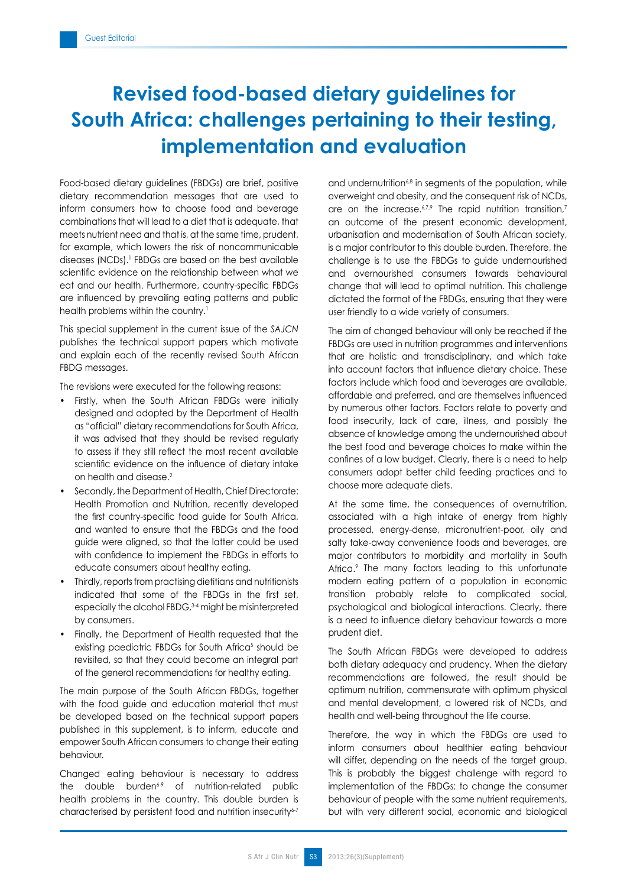## **Revised food-based dietary guidelines for South Africa: challenges pertaining to their testing, implementation and evaluation**

Food-based dietary guidelines (FBDGs) are brief, positive dietary recommendation messages that are used to inform consumers how to choose food and beverage combinations that will lead to a diet that is adequate, that meets nutrient need and that is, at the same time, prudent, for example, which lowers the risk of noncommunicable diseases (NCDs).1 FBDGs are based on the best available scientific evidence on the relationship between what we eat and our health. Furthermore, country-specific FBDGs are influenced by prevailing eating patterns and public health problems within the country.<sup>1</sup>

This special supplement in the current issue of the *SAJCN* publishes the technical support papers which motivate and explain each of the recently revised South African FBDG messages.

The revisions were executed for the following reasons:

- Firstly, when the South African FBDGs were initially designed and adopted by the Department of Health as "official" dietary recommendations for South Africa, it was advised that they should be revised regularly to assess if they still reflect the most recent available scientific evidence on the influence of dietary intake on health and disease.2
- Secondly, the Department of Health, Chief Directorate: Health Promotion and Nutrition, recently developed the first country-specific food guide for South Africa, and wanted to ensure that the FBDGs and the food guide were aligned, so that the latter could be used with confidence to implement the FBDGs in efforts to educate consumers about healthy eating.
- Thirdly, reports from practising dietitians and nutritionists indicated that some of the FBDGs in the first set, especially the alcohol FBDG,<sup>3-4</sup> might be misinterpreted by consumers.
- Finally, the Department of Health requested that the existing paediatric FBDGs for South Africa<sup>5</sup> should be revisited, so that they could become an integral part of the general recommendations for healthy eating.

The main purpose of the South African FBDGs, together with the food guide and education material that must be developed based on the technical support papers published in this supplement, is to inform, educate and empower South African consumers to change their eating behaviour.

Changed eating behaviour is necessary to address the double burden $6-9$  of nutrition-related public health problems in the country. This double burden is characterised by persistent food and nutrition insecurity6-7

and undernutrition<sup>6,8</sup> in segments of the population, while overweight and obesity, and the consequent risk of NCDs, are on the increase.<sup>6,7,9</sup> The rapid nutrition transition,<sup>7</sup> an outcome of the present economic development, urbanisation and modernisation of South African society, is a major contributor to this double burden. Therefore, the challenge is to use the FBDGs to guide undernourished and overnourished consumers towards behavioural change that will lead to optimal nutrition. This challenge dictated the format of the FBDGs, ensuring that they were user friendly to a wide variety of consumers.

The aim of changed behaviour will only be reached if the FBDGs are used in nutrition programmes and interventions that are holistic and transdisciplinary, and which take into account factors that influence dietary choice. These factors include which food and beverages are available, affordable and preferred, and are themselves influenced by numerous other factors. Factors relate to poverty and food insecurity, lack of care, illness, and possibly the absence of knowledge among the undernourished about the best food and beverage choices to make within the confines of a low budget. Clearly, there is a need to help consumers adopt better child feeding practices and to choose more adequate diets.

At the same time, the consequences of overnutrition, associated with a high intake of energy from highly processed, energy-dense, micronutrient-poor, oily and salty take-away convenience foods and beverages, are major contributors to morbidity and mortality in South Africa.9 The many factors leading to this unfortunate modern eating pattern of a population in economic transition probably relate to complicated social, psychological and biological interactions. Clearly, there is a need to influence dietary behaviour towards a more prudent diet.

The South African FBDGs were developed to address both dietary adequacy and prudency. When the dietary recommendations are followed, the result should be optimum nutrition, commensurate with optimum physical and mental development, a lowered risk of NCDs, and health and well-being throughout the life course.

Therefore, the way in which the FBDGs are used to inform consumers about healthier eating behaviour will differ, depending on the needs of the target group. This is probably the biggest challenge with regard to implementation of the FBDGs: to change the consumer behaviour of people with the same nutrient requirements, but with very different social, economic and biological